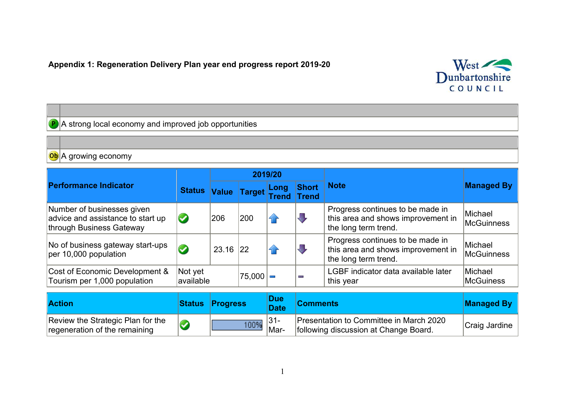## **Appendix 1: Regeneration Delivery Plan year end progress report 2019-20**



A strong local economy and improved job opportunities

 $\mathbf{P}$ 

## **Ob** A growing economy **2019/20 Performance Indicator Status Note** Managed By **Short Value Target Long Trend Trend**  Number of businesses given Progress continues to be made in Michael  $\sqrt{2}$  $\vert$ advice and assistance to start up  $\bullet$ 206 200 this area and shows improvement in  $\bigcap$ McGuinness through Business Gateway the long term trend. Progress continues to be made in No of business gateway start-ups Michael No of business gateway start-ups  $\bigotimes$  23.16 22  $\curvearrowleft$  $\prod_{\mathbf{y}}$ this area and shows improvement in McGuinness the long term trend. Cost of Economic Development & Not yet<br>available  $75,000$   $\Box$   $\Box$  LGBF indicator data available later Michael Tourism per 1,000 population **McGuiness** this year **Action Status Progress Due Domments** Managed By **Comments** Managed By Review the Strategic Plan for the  $|31-$ Presentation to Committee in March 2020  $\bigcirc$ 100% following discussion at Change Board. Craig Jardine Marregeneration of the remaining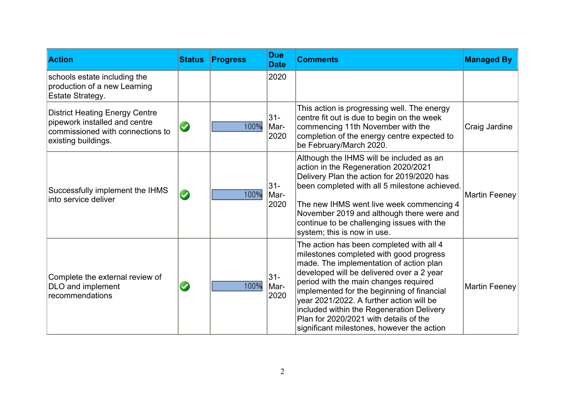| <b>Action</b>                                                                                                                     | <b>Status</b> | <b>Progress</b> | <b>Due</b><br><b>Date</b> | <b>Comments</b>                                                                                                                                                                                                                                                                                                                                                                                                                                     | <b>Managed By</b>    |
|-----------------------------------------------------------------------------------------------------------------------------------|---------------|-----------------|---------------------------|-----------------------------------------------------------------------------------------------------------------------------------------------------------------------------------------------------------------------------------------------------------------------------------------------------------------------------------------------------------------------------------------------------------------------------------------------------|----------------------|
| schools estate including the<br>production of a new Learning<br>Estate Strategy.                                                  |               |                 | 2020                      |                                                                                                                                                                                                                                                                                                                                                                                                                                                     |                      |
| <b>District Heating Energy Centre</b><br>pipework installed and centre<br>commissioned with connections to<br>existing buildings. | $\bullet$     | 100%            | $31 -$<br>Mar-<br>2020    | This action is progressing well. The energy<br>centre fit out is due to begin on the week<br>commencing 11th November with the<br>completion of the energy centre expected to<br>be February/March 2020.                                                                                                                                                                                                                                            | Craig Jardine        |
| Successfully implement the IHMS<br>into service deliver                                                                           | $\bm{\omega}$ | 100%            | $31 -$<br>Mar-<br>2020    | Although the IHMS will be included as an<br>action in the Regeneration 2020/2021<br>Delivery Plan the action for 2019/2020 has<br>been completed with all 5 milestone achieved.<br>The new IHMS went live week commencing 4<br>November 2019 and although there were and<br>continue to be challenging issues with the<br>system; this is now in use.                                                                                               | <b>Martin Feeney</b> |
| Complete the external review of<br>DLO and implement<br>recommendations                                                           | $\bm{\omega}$ | 100%            | $31 -$<br>Mar-<br>2020    | The action has been completed with all 4<br>milestones completed with good progress<br>made. The implementation of action plan<br>developed will be delivered over a 2 year<br>period with the main changes required<br>implemented for the beginning of financial<br>year 2021/2022. A further action will be<br>included within the Regeneration Delivery<br>Plan for 2020/2021 with details of the<br>significant milestones, however the action | <b>Martin Feeney</b> |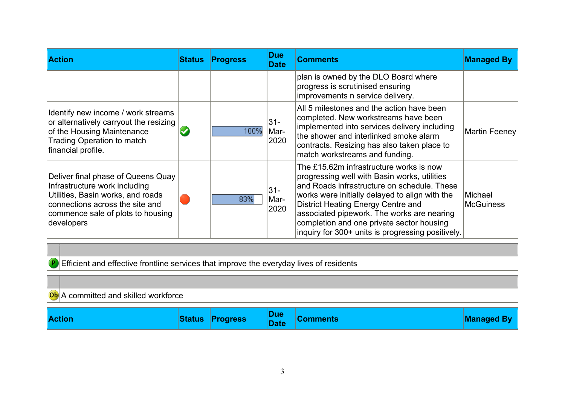| <b>Action</b>                                                                                                                                                                                  | <b>Status Progress</b> | <b>Due</b><br><b>Date</b> | <b>Comments</b>                                                                                                                                                                                                                                                                                                                                                                | <b>Managed By</b>    |
|------------------------------------------------------------------------------------------------------------------------------------------------------------------------------------------------|------------------------|---------------------------|--------------------------------------------------------------------------------------------------------------------------------------------------------------------------------------------------------------------------------------------------------------------------------------------------------------------------------------------------------------------------------|----------------------|
|                                                                                                                                                                                                |                        |                           | plan is owned by the DLO Board where<br>progress is scrutinised ensuring<br>improvements n service delivery.                                                                                                                                                                                                                                                                   |                      |
| Identify new income / work streams<br>or alternatively carryout the resizing<br>of the Housing Maintenance<br><b>Trading Operation to match</b><br>financial profile.                          | 100%                   | $31 -$<br>Mar-<br>2020    | All 5 milestones and the action have been<br>completed. New workstreams have been<br>implemented into services delivery including<br>the shower and interlinked smoke alarm<br>contracts. Resizing has also taken place to<br>match workstreams and funding.                                                                                                                   | Martin Feeney        |
| Deliver final phase of Queens Quay<br>Infrastructure work including<br>Utilities, Basin works, and roads<br>connections across the site and<br>commence sale of plots to housing<br>developers | 83%                    | $31 -$<br>Mar-<br>2020    | The £15.62m infrastructure works is now<br>progressing well with Basin works, utilities<br>and Roads infrastructure on schedule. These<br>works were initially delayed to align with the<br>District Heating Energy Centre and<br>associated pipework. The works are nearing<br>completion and one private sector housing<br>inquiry for 300+ units is progressing positively. | Michael<br>McGuiness |

P Efficient and effective frontline services that improve the everyday lives of residents

## Ob A committed and skilled workforce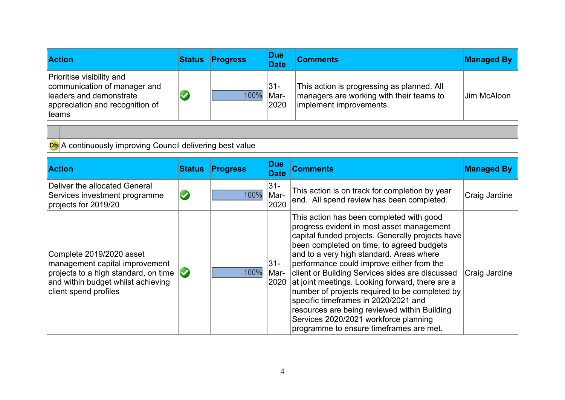| <b>Action</b>                                                                                                                             | <b>Status</b> | <b>Progress</b> | <b>Due</b><br><b>Date</b> | <b>Comments</b>                                                                                                   | <b>Managed By</b> |
|-------------------------------------------------------------------------------------------------------------------------------------------|---------------|-----------------|---------------------------|-------------------------------------------------------------------------------------------------------------------|-------------------|
| <b>Prioritise visibility and</b><br>communication of manager and<br>lleaders and demonstrate<br>appreciation and recognition of<br>∣teams |               | 100%            | 31-<br>Mar-<br>2020       | This action is progressing as planned. All<br>managers are working with their teams to<br>implement improvements. | Jim McAloon       |

**Ob** A continuously improving Council delivering best value

| <b>Action</b>                                                                                                                                                                   | <b>Status</b> | <b>Progress</b> | <b>Due</b><br><b>Date</b> | <b>Comments</b>                                                                                                                                                                                                                                                                                                                                                                                                                                                                                                                                                                                                     | <b>Managed By</b> |
|---------------------------------------------------------------------------------------------------------------------------------------------------------------------------------|---------------|-----------------|---------------------------|---------------------------------------------------------------------------------------------------------------------------------------------------------------------------------------------------------------------------------------------------------------------------------------------------------------------------------------------------------------------------------------------------------------------------------------------------------------------------------------------------------------------------------------------------------------------------------------------------------------------|-------------------|
| Deliver the allocated General<br>Services investment programme<br>projects for 2019/20                                                                                          | $\bullet$     | 100%            | $31 -$<br>Mar-<br>2020    | This action is on track for completion by year<br>end. All spend review has been completed.                                                                                                                                                                                                                                                                                                                                                                                                                                                                                                                         | Craig Jardine     |
| Complete 2019/2020 asset<br>management capital improvement<br>projects to a high standard, on time $\mathcal{O}$<br>and within budget whilst achieving<br>client spend profiles |               | 100%            | $31 -$<br>Mar-<br>2020    | This action has been completed with good<br>progress evident in most asset management<br>capital funded projects. Generally projects have<br>been completed on time, to agreed budgets<br>and to a very high standard. Areas where<br>performance could improve either from the<br>client or Building Services sides are discussed<br>at joint meetings. Looking forward, there are a<br>number of projects required to be completed by<br>specific timeframes in 2020/2021 and<br>resources are being reviewed within Building<br>Services 2020/2021 workforce planning<br>programme to ensure timeframes are met. | Craig Jardine     |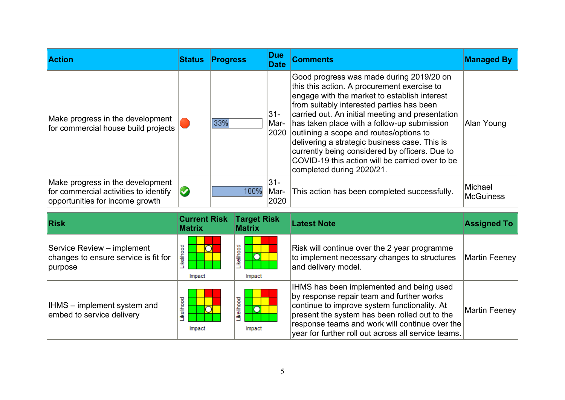| <b>Action</b>                                                                                                | <b>Status</b> | <b>Progress</b> | <b>Due</b><br><b>Date</b> | <b>Comments</b>                                                                                                                                                                                                                                                                                                                                                                                                                                                                                                       | <b>Managed By</b>           |
|--------------------------------------------------------------------------------------------------------------|---------------|-----------------|---------------------------|-----------------------------------------------------------------------------------------------------------------------------------------------------------------------------------------------------------------------------------------------------------------------------------------------------------------------------------------------------------------------------------------------------------------------------------------------------------------------------------------------------------------------|-----------------------------|
| Make progress in the development<br>for commercial house build projects                                      |               | 33%             | 31-<br>Mar-<br>2020       | Good progress was made during 2019/20 on<br>this this action. A procurement exercise to<br>engage with the market to establish interest<br>from suitably interested parties has been<br>carried out. An initial meeting and presentation<br>has taken place with a follow-up submission<br>outlining a scope and routes/options to<br>delivering a strategic business case. This is<br>currently being considered by officers. Due to<br>COVID-19 this action will be carried over to be<br>completed during 2020/21. | Alan Young                  |
| Make progress in the development<br>for commercial activities to identify<br>opportunities for income growth | $\bullet$     | 100%            | $31 -$<br>Mar-<br>2020    | This action has been completed successfully.                                                                                                                                                                                                                                                                                                                                                                                                                                                                          | Michael<br><b>McGuiness</b> |

| <b>Risk</b>                                                                   | <b>Current Risk</b><br><b>Matrix</b> | <b>Target Risk</b><br><b>Matrix</b>       | <b>Latest Note</b>                                                                                                                                                                                                                                                                                      | <b>Assigned To</b> |
|-------------------------------------------------------------------------------|--------------------------------------|-------------------------------------------|---------------------------------------------------------------------------------------------------------------------------------------------------------------------------------------------------------------------------------------------------------------------------------------------------------|--------------------|
| Service Review – implement<br>changes to ensure service is fit for<br>purpose | Likelihood<br>Impact                 | kelihood<br>O<br>Impact                   | Risk will continue over the 2 year programme<br>to implement necessary changes to structures<br>and delivery model.                                                                                                                                                                                     | Martin Feeney      |
| <b>IHMS</b> – implement system and<br>embed to service delivery               | ikelihood<br>Impact                  | ikelihood<br>$\overline{\circ}$<br>Impact | IHMS has been implemented and being used<br>by response repair team and further works<br>continue to improve system functionality. At<br>present the system has been rolled out to the<br>$ $ response teams and work will continue over the $ $<br>year for further roll out across all service teams. | Martin Feeney      |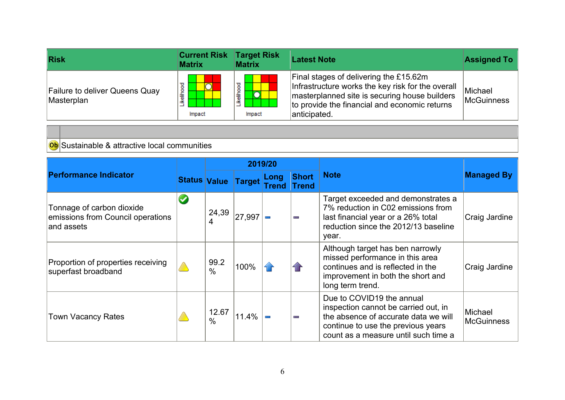| Risk                                                | <b>Current Risk</b><br><b>Matrix</b> | <b>Target Risk</b><br><b>Matrix</b>       | <b>Latest Note</b>                                                                                                                                                                                            | <b>Assigned To</b>           |
|-----------------------------------------------------|--------------------------------------|-------------------------------------------|---------------------------------------------------------------------------------------------------------------------------------------------------------------------------------------------------------------|------------------------------|
| <b>Failure to deliver Queens Quay</b><br>Masterplan | ğ<br>竈<br>≚<br>Impact                | ikelihood<br>$\overline{\rm O}$<br>Impact | Final stages of delivering the £15.62m<br>Infrastructure works the key risk for the overall<br>masterplanned site is securing house builders<br>to provide the financial and economic returns<br>anticipated. | Michael<br><b>McGuinness</b> |

Ob Sustainable & attractive local communities

|                                                                               |                     | 2019/20       |         |               |                              |                                                                                                                                                                                         |                              |
|-------------------------------------------------------------------------------|---------------------|---------------|---------|---------------|------------------------------|-----------------------------------------------------------------------------------------------------------------------------------------------------------------------------------------|------------------------------|
| <b>Performance Indicator</b>                                                  | <b>Status Value</b> |               | Target  | Long<br>Trend | <b>Short</b><br><b>Trend</b> | <b>Note</b>                                                                                                                                                                             | <b>Managed By</b>            |
| Tonnage of carbon dioxide<br>emissions from Council operations<br>land assets |                     | 24,39<br>4    | 27,997  |               | Ī                            | Target exceeded and demonstrates a<br>7% reduction in C02 emissions from<br>last financial year or a 26% total<br>reduction since the 2012/13 baseline<br>year.                         | Craig Jardine                |
| Proportion of properties receiving<br>superfast broadband                     |                     | 99.2<br>$\%$  | $100\%$ |               |                              | Although target has ben narrowly<br>missed performance in this area<br>continues and is reflected in the<br>improvement in both the short and<br>long term trend.                       | Craig Jardine                |
| <b>Town Vacancy Rates</b>                                                     |                     | 12.67<br>$\%$ | 11.4%   |               | Ī                            | Due to COVID19 the annual<br>inspection cannot be carried out, in<br>the absence of accurate data we will<br>continue to use the previous years<br>count as a measure until such time a | Michael<br><b>McGuinness</b> |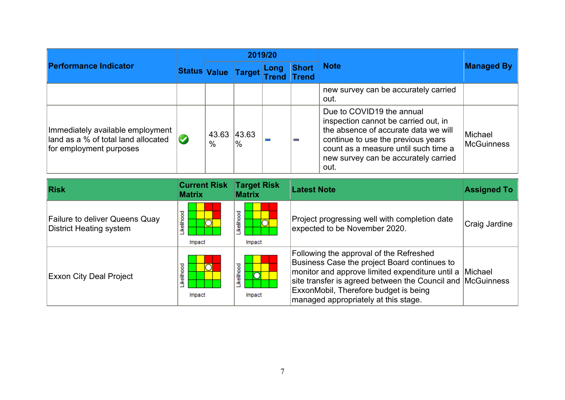| <b>Performance Indicator</b>                                                                       |                     | 2019/20       |              |                      |                       |                                                                                                                                                                                                                                         |                              |
|----------------------------------------------------------------------------------------------------|---------------------|---------------|--------------|----------------------|-----------------------|-----------------------------------------------------------------------------------------------------------------------------------------------------------------------------------------------------------------------------------------|------------------------------|
|                                                                                                    | Status Value Target |               |              | Long<br><b>Trend</b> | Short<br><b>Trend</b> | <b>Note</b>                                                                                                                                                                                                                             | <b>Managed By</b>            |
|                                                                                                    |                     |               |              |                      |                       | new survey can be accurately carried<br>out.                                                                                                                                                                                            |                              |
| Immediately available employment<br>land as a % of total land allocated<br>for employment purposes |                     | 43.63<br>$\%$ | 43.63 <br>'% |                      | mm.                   | Due to COVID19 the annual<br>inspection cannot be carried out, in<br>the absence of accurate data we will<br>continue to use the previous years<br>count as a measure until such time a<br>new survey can be accurately carried<br>out. | Michael<br><b>McGuinness</b> |

| <b>Risk</b>                                               | <b>Current Risk</b><br><b>Matrix</b> | <b>Target Risk</b><br><b>Matrix</b> | <b>Latest Note</b>                                                                                                                                                                                                                                                                                | <b>Assigned To</b> |
|-----------------------------------------------------------|--------------------------------------|-------------------------------------|---------------------------------------------------------------------------------------------------------------------------------------------------------------------------------------------------------------------------------------------------------------------------------------------------|--------------------|
| Failure to deliver Queens Quay<br>District Heating system | ikelihood<br>Impact                  | ikelihood<br>O<br>Impact            | Project progressing well with completion date<br>expected to be November 2020.                                                                                                                                                                                                                    | Craig Jardine      |
| <b>Exxon City Deal Project</b>                            | <b>kelihood</b><br>Impact            | .ikelihood<br>n<br>Impact           | Following the approval of the Refreshed<br>Business Case the project Board continues to<br>monitor and approve limited expenditure until a Michael<br>site transfer is agreed between the Council and McGuinness<br>ExxonMobil, Therefore budget is being<br>managed appropriately at this stage. |                    |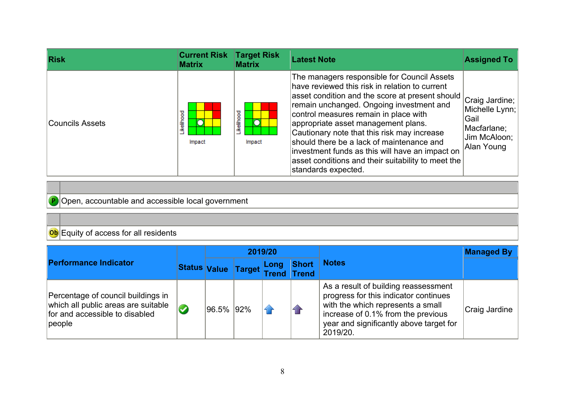| <b>Risk</b>     | <b>Current Risk</b><br><b>Matrix</b> | <b>Target Risk</b><br><b>Matrix</b> | <b>Latest Note</b>                                                                                                                                                                                                                                                                                                                                                                                                                                                                                       | <b>Assigned To</b>                                                                      |
|-----------------|--------------------------------------|-------------------------------------|----------------------------------------------------------------------------------------------------------------------------------------------------------------------------------------------------------------------------------------------------------------------------------------------------------------------------------------------------------------------------------------------------------------------------------------------------------------------------------------------------------|-----------------------------------------------------------------------------------------|
| Councils Assets | Likelihood<br>Impact                 | Likelihood<br>Ō<br>Impact           | The managers responsible for Council Assets<br>have reviewed this risk in relation to current<br>asset condition and the score at present should<br>remain unchanged. Ongoing investment and<br>control measures remain in place with<br>appropriate asset management plans.<br>Cautionary note that this risk may increase<br>should there be a lack of maintenance and<br>investment funds as this will have an impact on<br>asset conditions and their suitability to meet the<br>standards expected. | Craig Jardine;  <br>Michelle Lynn;<br>Gail<br>Macfarlane;<br>Jim McAloon;<br>Alan Young |

**P** Open, accountable and accessible local government

## Ob Equity of access for all residents

| <b>Performance Indicator</b>                                                                                           |  | 2019/20   |                     |               |                       |                                                                                                                                                                                                                 | <b>Managed By</b> |
|------------------------------------------------------------------------------------------------------------------------|--|-----------|---------------------|---------------|-----------------------|-----------------------------------------------------------------------------------------------------------------------------------------------------------------------------------------------------------------|-------------------|
|                                                                                                                        |  |           | Status Value Target | Long<br>Trend | Short<br><b>Trend</b> | <b>Notes</b>                                                                                                                                                                                                    |                   |
| Percentage of council buildings in<br>which all public areas are suitable<br>for and accessible to disabled<br> people |  | 96.5% 92% |                     |               |                       | As a result of building reassessment<br>progress for this indicator continues<br>with the which represents a small<br>increase of 0.1% from the previous<br>year and significantly above target for<br>2019/20. | Craig Jardine     |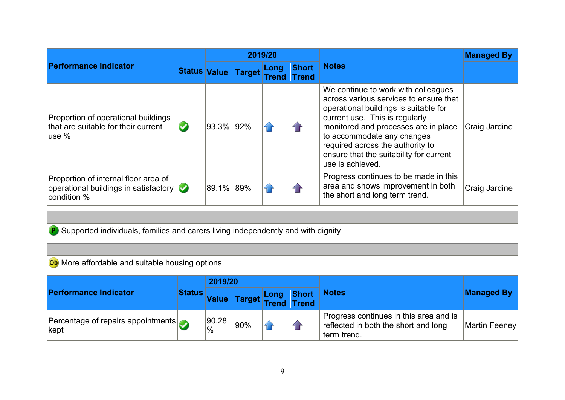|                                                                                                           |                       |           |                            | 2019/20       |                       |                                                                                                                                                                                                                                                                                                                                   | <b>Managed By</b> |
|-----------------------------------------------------------------------------------------------------------|-----------------------|-----------|----------------------------|---------------|-----------------------|-----------------------------------------------------------------------------------------------------------------------------------------------------------------------------------------------------------------------------------------------------------------------------------------------------------------------------------|-------------------|
| <b>Performance Indicator</b>                                                                              |                       |           | <b>Status Value Target</b> | Long<br>Trend | Short<br><b>Trend</b> | <b>Notes</b>                                                                                                                                                                                                                                                                                                                      |                   |
| Proportion of operational buildings<br>that are suitable for their current<br>use %                       | $\blacktriangleright$ | 93.3% 92% |                            |               |                       | We continue to work with colleagues<br>across various services to ensure that<br>operational buildings is suitable for<br>current use. This is regularly<br>monitored and processes are in place<br>to accommodate any changes<br>required across the authority to<br>ensure that the suitability for current<br>use is achieved. | Craig Jardine     |
| Proportion of internal floor area of<br>operational buildings in satisfactory $\mathcal O$<br>condition % |                       | 89.1% 89% |                            |               |                       | Progress continues to be made in this<br>area and shows improvement in both<br>the short and long term trend.                                                                                                                                                                                                                     | Craig Jardine     |

**P** Supported individuals, families and carers living independently and with dignity

Ob More affordable and suitable housing options

| <b>Performance Indicator</b>                   | <b>Status</b> | 2019/20                  |             |  |                |                                                                                               |                   |
|------------------------------------------------|---------------|--------------------------|-------------|--|----------------|-----------------------------------------------------------------------------------------------|-------------------|
|                                                |               | <b>Value</b>             | Target Long |  | Short<br>Trend | <b>Notes</b>                                                                                  | <b>Managed By</b> |
| Percentage of repairs appointments<br>$ $ kept |               | 90.28 <br>$\frac{10}{6}$ | 90%         |  |                | Progress continues in this area and is<br>reflected in both the short and long<br>term trend. | Martin Feeney     |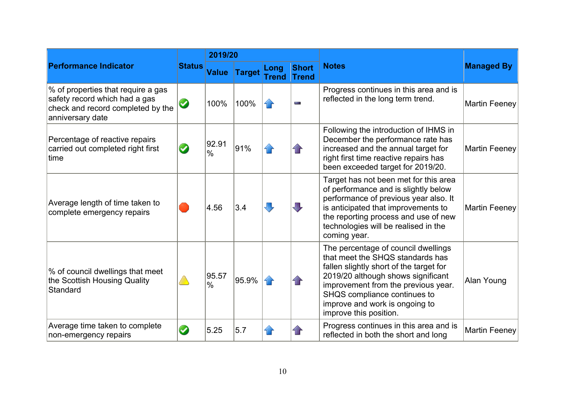|                                                                                                                              |               | 2019/20                |               |                             |                              |                                                                                                                                                                                                                                                                                             |                      |
|------------------------------------------------------------------------------------------------------------------------------|---------------|------------------------|---------------|-----------------------------|------------------------------|---------------------------------------------------------------------------------------------------------------------------------------------------------------------------------------------------------------------------------------------------------------------------------------------|----------------------|
| <b>Performance Indicator</b>                                                                                                 | <b>Status</b> | <b>Value</b>           | <b>Target</b> | <b>Long</b><br><b>Trend</b> | <b>Short</b><br><b>Trend</b> | <b>Notes</b>                                                                                                                                                                                                                                                                                | <b>Managed By</b>    |
| % of properties that require a gas<br>safety record which had a gas<br>check and record completed by the<br>anniversary date | $\bullet$     | 100%                   | 100%          | i F                         | m.                           | Progress continues in this area and is<br>reflected in the long term trend.                                                                                                                                                                                                                 | <b>Martin Feeney</b> |
| Percentage of reactive repairs<br>carried out completed right first<br>Itime                                                 | $\bullet$     | 92.91<br>$\frac{0}{0}$ | 91%           |                             | 1 P                          | Following the introduction of IHMS in<br>December the performance rate has<br>increased and the annual target for<br>right first time reactive repairs has<br>been exceeded target for 2019/20.                                                                                             | <b>Martin Feeney</b> |
| Average length of time taken to<br>complete emergency repairs                                                                |               | 4.56                   | 3.4           | J,                          | $\blacksquare$               | Target has not been met for this area<br>of performance and is slightly below<br>performance of previous year also. It<br>is anticipated that improvements to<br>the reporting process and use of new<br>technologies will be realised in the<br>coming year.                               | <b>Martin Feeney</b> |
| % of council dwellings that meet<br>the Scottish Housing Quality<br><b>Standard</b>                                          |               | 95.57<br>$\frac{0}{0}$ | 95.9%         | 1 F                         | 1 F                          | The percentage of council dwellings<br>that meet the SHQS standards has<br>fallen slightly short of the target for<br>2019/20 although shows significant<br>improvement from the previous year.<br>SHQS compliance continues to<br>improve and work is ongoing to<br>improve this position. | Alan Young           |
| Average time taken to complete<br>non-emergency repairs                                                                      | $\bullet$     | 5.25                   | 5.7           |                             |                              | Progress continues in this area and is<br>reflected in both the short and long                                                                                                                                                                                                              | <b>Martin Feeney</b> |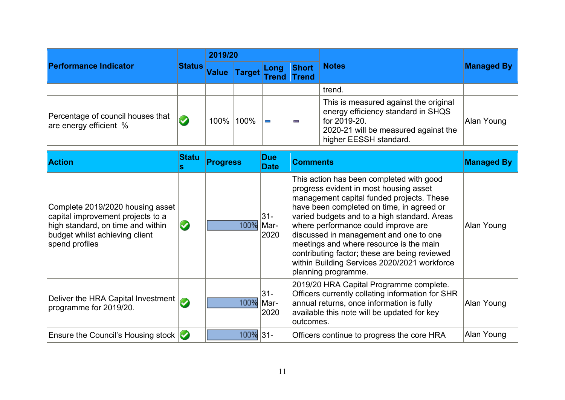| <b>Performance Indicator</b>                                | <b>Status</b> | 2019/20      |               |  |                                    |                                                                                                                                                               |                   |
|-------------------------------------------------------------|---------------|--------------|---------------|--|------------------------------------|---------------------------------------------------------------------------------------------------------------------------------------------------------------|-------------------|
|                                                             |               | <b>Value</b> | <b>Target</b> |  | Short<br>Long Short<br>Trend Trend | <b>Notes</b>                                                                                                                                                  | <b>Managed By</b> |
|                                                             |               |              |               |  |                                    | trend.                                                                                                                                                        |                   |
| Percentage of council houses that<br>are energy efficient % |               |              | 100% 100%     |  | ļ                                  | This is measured against the original<br>energy efficiency standard in SHQS<br>for 2019-20.<br>2020-21 will be measured against the<br>higher EESSH standard. | Alan Young        |

| <b>Action</b>                                                                                                                                                  | <b>Statu</b>          | <b>Progress</b> | <b>Due</b><br><b>Date</b>   | <b>Comments</b>                                                                                                                                                                                                                                                                                                                                                                                                                                                                  | <b>Managed By</b> |
|----------------------------------------------------------------------------------------------------------------------------------------------------------------|-----------------------|-----------------|-----------------------------|----------------------------------------------------------------------------------------------------------------------------------------------------------------------------------------------------------------------------------------------------------------------------------------------------------------------------------------------------------------------------------------------------------------------------------------------------------------------------------|-------------------|
| Complete 2019/2020 housing asset<br>capital improvement projects to a<br>high standard, on time and within<br>budget whilst achieving client<br>spend profiles | $\blacktriangleright$ | 100% Mar-       | 31-<br>2020                 | This action has been completed with good<br>progress evident in most housing asset<br>management capital funded projects. These<br>have been completed on time, in agreed or<br>varied budgets and to a high standard. Areas<br>where performance could improve are<br>discussed in management and one to one<br>meetings and where resource is the main<br>contributing factor; these are being reviewed<br>within Building Services 2020/2021 workforce<br>planning programme. | Alan Young        |
| Deliver the HRA Capital Investment $\bigcirc$<br>programme for 2019/20.                                                                                        |                       |                 | $31 -$<br>100% Mar-<br>2020 | 2019/20 HRA Capital Programme complete.<br>Officers currently collating information for SHR<br>annual returns, once information is fully<br>available this note will be updated for key<br>outcomes.                                                                                                                                                                                                                                                                             | Alan Young        |
| Ensure the Council's Housing stock $\bigcirc$                                                                                                                  |                       | 100% 31-        |                             | Officers continue to progress the core HRA                                                                                                                                                                                                                                                                                                                                                                                                                                       | Alan Young        |